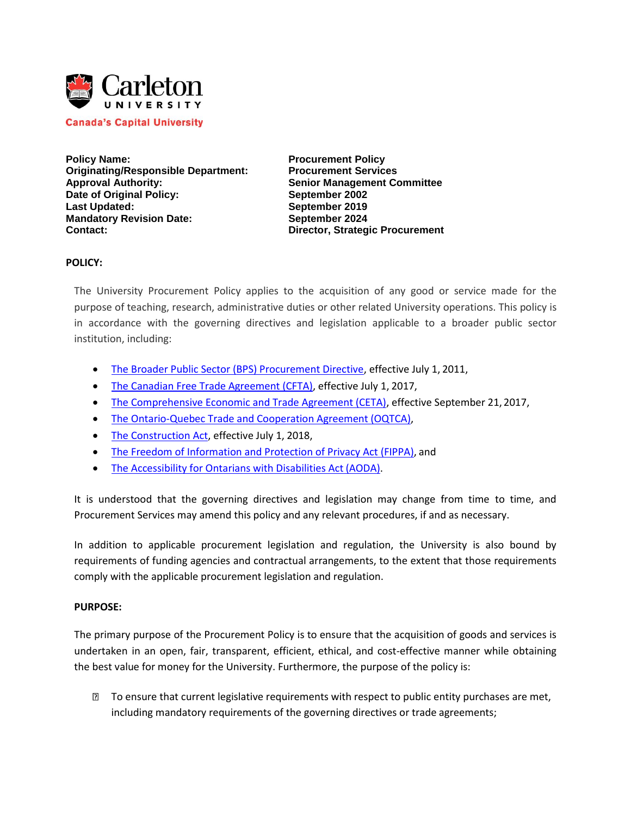

**Canada's Capital University** 

Policy Name: **Procurement Policy Originating/Responsible Department: Procurement Services Approval Authority: Senior Management Committee Date of Original Policy: September 2002 Last Updated: September 2019 Mandatory Revision Date:** September 2024 **Contact: Director, Strategic Procurement**

### **POLICY:**

The University Procurement Policy applies to the acquisition of any good or service made for the purpose of teaching, research, administrative duties or other related University operations. This policy is in accordance with the governing directives and legislation applicable to a broader public sector institution, including:

- [The Broader Public Sector \(BPS\) Procurement Directive, e](https://www.doingbusiness.mgs.gov.on.ca/mbs/psb/psb.nsf/Attachments/001-BPS_Procurement_Directive/%24FILE/BPS_Procurement_Directive.pdf)ffective July 1, 2011,
- [The Canadian Free Trade Agreement \(CFTA\), e](https://www.cfta-alec.ca/canadian-free-trade-agreement/)ffective July 1, 2017,
- [The Comprehensive Economic and Trade Agreement \(CETA\),](https://www.international.gc.ca/trade-commerce/trade-agreements-accords-commerciaux/agr-acc/ceta-aecg/index.aspx?lang=eng) effective September 21, 2017,
- [The Ontario-Quebec Trade and Cooperation Agreement](https://www.ontario.ca/document/trade-and-cooperation-agreement-between-ontario-and-quebec-0) (OQTCA),
- [The Construction Act, e](https://www.ontario.ca/laws/statute/90c30?_ga=2.29519352.673926606.1566828669-276259044.1554825583)ffective July 1, 2018,
- [The Freedom of Information and Protection of Privacy Act \(FIPPA\),](https://www.ontario.ca/laws/statute/90f31) and
- [The Accessibility for Ontarians with Disabilities Act](https://www.ontario.ca/laws/statute/05a11) (AODA).

It is understood that the governing directives and legislation may change from time to time, and Procurement Services may amend this policy and any relevant procedures, if and as necessary.

In addition to applicable procurement legislation and regulation, the University is also bound by [requirements of funding agencies a](https://www.procurement.utoronto.ca/about-procurement/policy/policies-research-grants)nd contractual arrangements, to the extent that those requirements comply with the applicable procurement legislation and regulation.

#### **PURPOSE:**

The primary purpose of the Procurement Policy is to ensure that the acquisition of goods and services is undertaken in an open, fair, transparent, efficient, ethical, and cost-effective manner while obtaining the best value for money for the University. Furthermore, the purpose of the policy is:

**If** To ensure that current legislative requirements with respect to public entity purchases are met, including mandatory requirements of the governing directives or trade agreements;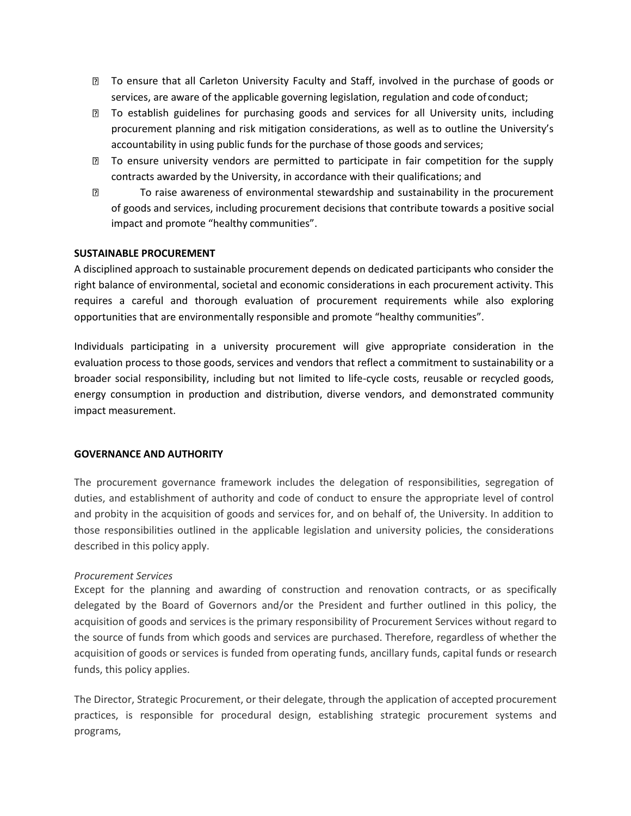- To ensure that all Carleton University Faculty and Staff, involved in the purchase of goods or services, are aware of the applicable governing legislation, regulation and code of conduct;
- **I** To establish guidelines for purchasing goods and services for all University units, including procurement planning and risk mitigation considerations, as well as to outline the University's accountability in using public funds for the purchase of those goods and services;
- To ensure university vendors are permitted to participate in fair competition for the supply contracts awarded by the University, in accordance with their qualifications; and
- To raise awareness of environmental stewardship and sustainability in the procurement  $\overline{3}$ of goods and services, including procurement decisions that contribute towards a positive social impact and promote "healthy communities".

### **SUSTAINABLE PROCUREMENT**

A disciplined approach to sustainable procurement depends on dedicated participants who consider the right balance of environmental, societal and economic considerations in each procurement activity. This requires a careful and thorough evaluation of procurement requirements while also exploring opportunities that are environmentally responsible and promote "healthy communities".

Individuals participating in a university procurement will give appropriate consideration in the evaluation process to those goods, services and vendors that reflect a commitment to sustainability or a broader social responsibility, including but not limited to life-cycle costs, reusable or recycled goods, energy consumption in production and distribution, diverse vendors, and demonstrated community impact measurement.

#### **GOVERNANCE AND AUTHORITY**

The procurement governance framework includes the delegation of responsibilities, segregation of duties, and establishment of authority and code of conduct to ensure the appropriate level of control and probity in the acquisition of goods and services for, and on behalf of, the University. In addition to those responsibilities outlined in the applicable legislation and university policies, the considerations described in this policy apply.

## *Procurement Services*

Except for the planning and awarding of construction and renovation contracts, or as specifically delegated by the Board of Governors and/or the President and further outlined in this policy, the acquisition of goods and services is the primary responsibility of Procurement Services without regard to the source of funds from which goods and services are purchased. Therefore, regardless of whether the acquisition of goods or services is funded from operating funds, ancillary funds, capital funds or research funds, this policy applies.

The Director, Strategic Procurement, or their delegate, through the application of accepted procurement practices, is responsible for procedural design, establishing strategic procurement systems and programs,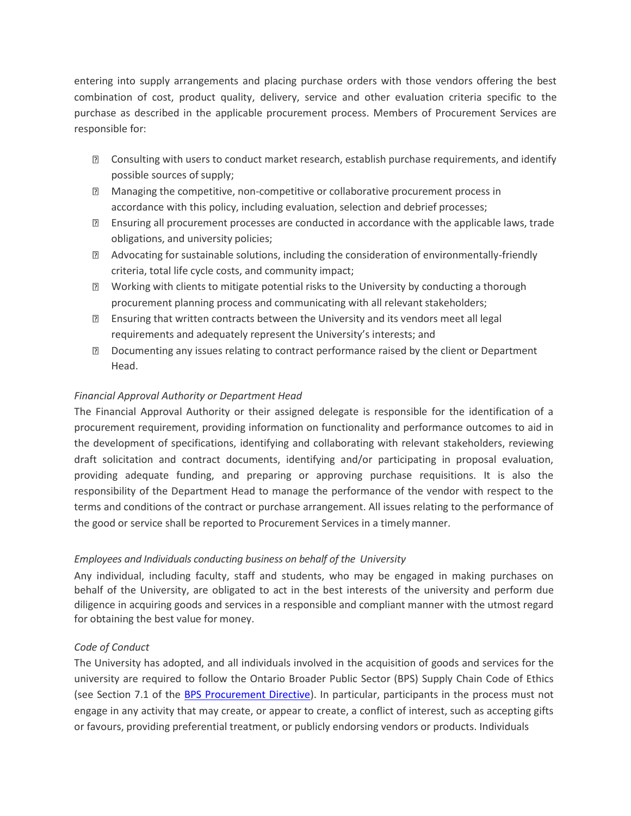entering into supply arrangements and placing purchase orders with those vendors offering the best combination of cost, product quality, delivery, service and other evaluation criteria specific to the purchase as described in the applicable procurement process. Members of Procurement Services are responsible for:

- Consulting with users to conduct market research, establish purchase requirements, and identify possible sources of supply;
- Managing the competitive, non-competitive or collaborative procurement process in accordance with this policy, including evaluation, selection and debrief processes;
- Ensuring all procurement processes are conducted in accordance with the applicable laws, trade obligations, and university policies;
- Advocating for sustainable solutions, including the consideration of environmentally-friendly criteria, total life cycle costs, and community impact;
- Working with clients to mitigate potential risks to the University by conducting a thorough procurement planning process and communicating with all relevant stakeholders;
- Ensuring that written contracts between the University and its vendors meet all legal requirements and adequately represent the University's interests; and
- Documenting any issues relating to contract performance raised by the client or Department Head.

# *Financial Approval Authority or Department Head*

The Financial Approval Authority or their assigned delegate is responsible for the identification of a procurement requirement, providing information on functionality and performance outcomes to aid in the development of specifications, identifying and collaborating with relevant stakeholders, reviewing draft solicitation and contract documents, identifying and/or participating in proposal evaluation, providing adequate funding, and preparing or approving purchase requisitions. It is also the responsibility of the Department Head to manage the performance of the vendor with respect to the terms and conditions of the contract or purchase arrangement. All issues relating to the performance of the good or service shall be reported to Procurement Services in a timely manner.

# *Employees and Individuals conducting business on behalf of the University*

Any individual, including faculty, staff and students, who may be engaged in making purchases on behalf of the University, are obligated to act in the best interests of the university and perform due diligence in acquiring goods and services in a responsible and compliant manner with the utmost regard for obtaining the best value for money.

# *Code of Conduct*

The University has adopted, and all individuals involved in the acquisition of goods and services for the university are required to follow the Ontario Broader Public Sector (BPS) Supply Chain Code of Ethics (see Section 7.1 of the [BPS Procurement Directive\)](https://www.doingbusiness.mgs.gov.on.ca/mbs/psb/psb.nsf/Attachments/001-BPS_Procurement_Directive/%24FILE/BPS_Procurement_Directive.pdf). In particular, participants in the process must not engage in any activity that may create, or appear to create, a conflict of interest, such as accepting gifts or favours, providing preferential treatment, or publicly endorsing vendors or products. Individuals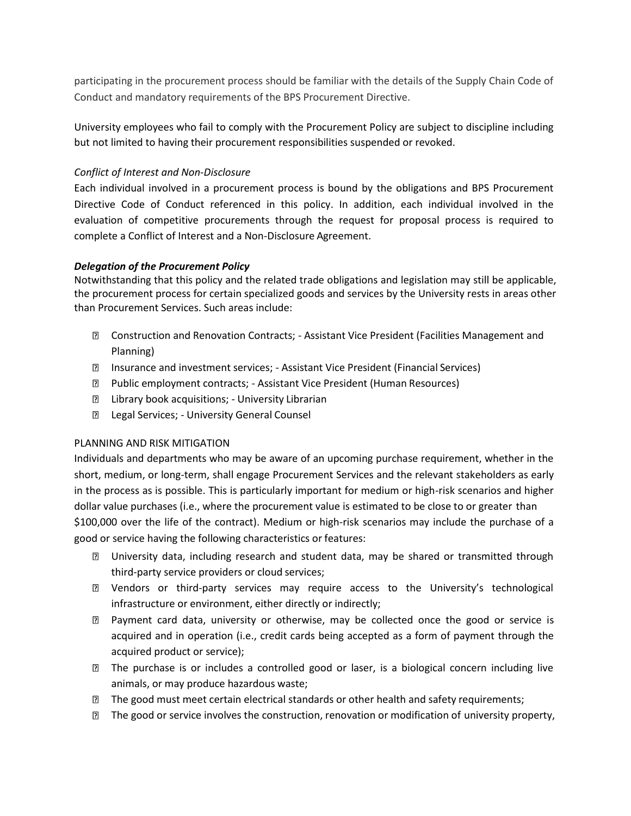participating in the procurement process should be familiar with the details of the Supply Chain Code of Conduct and mandatory requirements of the BPS Procurement Directive.

University employees who fail to comply with the Procurement Policy are subject to discipline including but not limited to having their procurement responsibilities suspended or revoked.

## *Conflict of Interest and Non-Disclosure*

Each individual involved in a procurement process is bound by the obligations and BPS Procurement Directive Code of Conduct referenced in this policy. In addition, each individual involved in the evaluation of competitive procurements through the request for proposal process is required to complete a Conflict of Interest and a Non-Disclosure Agreement.

## *Delegation of the Procurement Policy*

Notwithstanding that this policy and the related trade obligations and legislation may still be applicable, the procurement process for certain specialized goods and services by the University rests in areas other than Procurement Services. Such areas include:

- Construction and Renovation Contracts; Assistant Vice President (Facilities Management and Planning)
- Insurance and investment services; Assistant Vice President (Financial Services)
- Public employment contracts; Assistant Vice President (Human Resources)
- **E** Library book acquisitions; University Librarian
- **D** Legal Services; University General Counsel

## PLANNING AND RISK MITIGATION

Individuals and departments who may be aware of an upcoming purchase requirement, whether in the short, medium, or long-term, shall engage Procurement Services and the relevant stakeholders as early in the process as is possible. This is particularly important for medium or high-risk scenarios and higher dollar value purchases (i.e., where the procurement value is estimated to be close to or greater than \$100,000 over the life of the contract). Medium or high-risk scenarios may include the purchase of a good or service having the following characteristics or features:

- University data, including research and student data, may be shared or transmitted through third-party service providers or cloud services;
- Vendors or third-party services may require access to the University's technological infrastructure or environment, either directly or indirectly;
- Payment card data, university or otherwise, may be collected once the good or service is acquired and in operation (i.e., credit cards being accepted as a form of payment through the acquired product or service);
- The purchase is or includes a controlled good or laser, is a biological concern including live animals, or may produce hazardous waste;
- **The good must meet certain electrical standards or other health and safety requirements;**
- **If the good or service involves the construction, renovation or modification of university property,**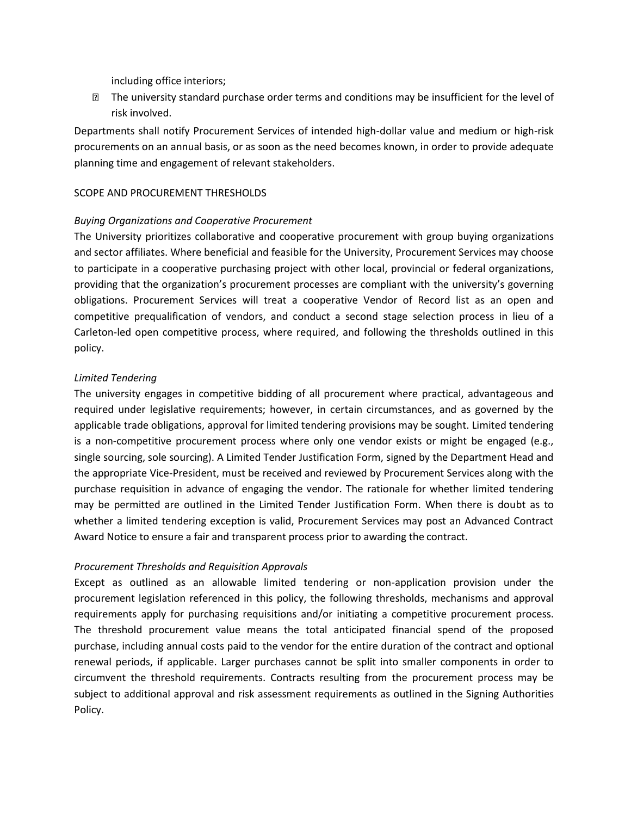including office interiors;

The university standard purchase order terms and conditions may be insufficient for the level of risk involved.

Departments shall notify Procurement Services of intended high-dollar value and medium or high-risk procurements on an annual basis, or as soon as the need becomes known, in order to provide adequate planning time and engagement of relevant stakeholders.

### SCOPE AND PROCUREMENT THRESHOLDS

### *Buying Organizations and Cooperative Procurement*

The University prioritizes collaborative and cooperative procurement with group buying organizations and sector affiliates. Where beneficial and feasible for the University, Procurement Services may choose to participate in a cooperative purchasing project with other local, provincial or federal organizations, providing that the organization's procurement processes are compliant with the university's governing obligations. Procurement Services will treat a cooperative Vendor of Record list as an open and competitive prequalification of vendors, and conduct a second stage selection process in lieu of a Carleton-led open competitive process, where required, and following the thresholds outlined in this policy.

## *Limited Tendering*

The university engages in competitive bidding of all procurement where practical, advantageous and required under legislative requirements; however, in certain circumstances, and as governed by the applicable trade obligations, approval for limited tendering provisions may be sought. Limited tendering is a non-competitive procurement process where only one vendor exists or might be engaged (e.g., single sourcing, sole sourcing). A Limited Tender Justification Form, signed by the Department Head and the appropriate Vice-President, must be received and reviewed by Procurement Services along with the purchase requisition in advance of engaging the vendor. The rationale for whether limited tendering may be permitted are outlined in the Limited Tender Justification Form. When there is doubt as to whether a limited tendering exception is valid, Procurement Services may post an Advanced Contract Award Notice to ensure a fair and transparent process prior to awarding the contract.

## *Procurement Thresholds and Requisition Approvals*

Except as outlined as an allowable limited tendering or non-application provision under the procurement legislation referenced in this policy, the following thresholds, mechanisms and approval requirements apply for purchasing requisitions and/or initiating a competitive procurement process. The threshold procurement value means the total anticipated financial spend of the proposed purchase, including annual costs paid to the vendor for the entire duration of the contract and optional renewal periods, if applicable. Larger purchases cannot be split into smaller components in order to circumvent the threshold requirements. Contracts resulting from the procurement process may be subject to additional approval and risk assessment requirements as outlined in the Signing Authorities Policy.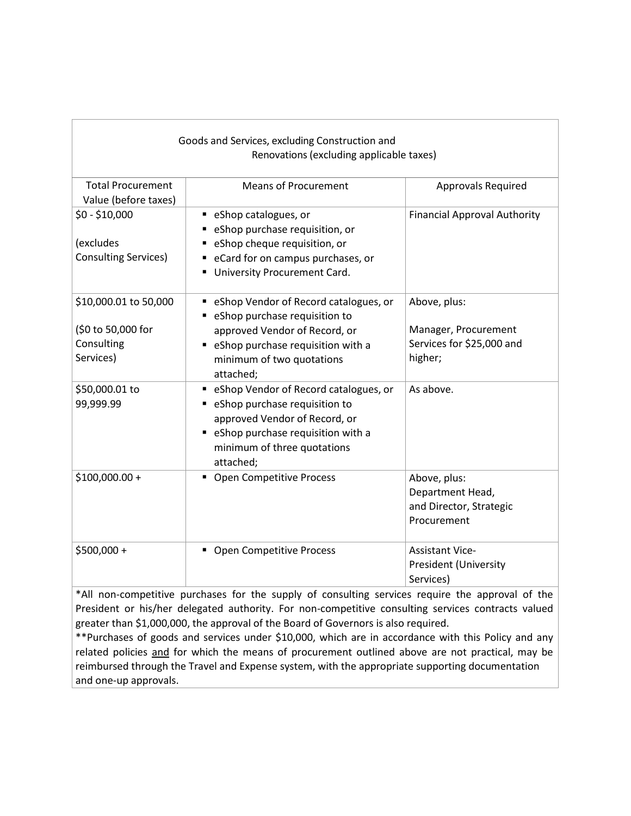| Goods and Services, excluding Construction and<br>Renovations (excluding applicable taxes) |                                                                                                                                                                                                 |                                                                              |  |
|--------------------------------------------------------------------------------------------|-------------------------------------------------------------------------------------------------------------------------------------------------------------------------------------------------|------------------------------------------------------------------------------|--|
| <b>Total Procurement</b><br>Value (before taxes)                                           | <b>Means of Procurement</b>                                                                                                                                                                     | Approvals Required                                                           |  |
| $$0 - $10,000$<br>(excludes<br><b>Consulting Services)</b>                                 | ■ eShop catalogues, or<br>eShop purchase requisition, or<br>eShop cheque requisition, or<br>eCard for on campus purchases, or<br>University Procurement Card.                                   | <b>Financial Approval Authority</b>                                          |  |
| \$10,000.01 to 50,000<br>(\$0 to 50,000 for<br>Consulting<br>Services)                     | eShop Vendor of Record catalogues, or<br>٠<br>" eShop purchase requisition to<br>approved Vendor of Record, or<br>" eShop purchase requisition with a<br>minimum of two quotations<br>attached; | Above, plus:<br>Manager, Procurement<br>Services for \$25,000 and<br>higher; |  |
| \$50,000.01 to<br>99,999.99                                                                | " eShop Vendor of Record catalogues, or<br>" eShop purchase requisition to<br>approved Vendor of Record, or<br>• eShop purchase requisition with a<br>minimum of three quotations<br>attached;  | As above.                                                                    |  |
| $$100,000.00+$                                                                             | • Open Competitive Process                                                                                                                                                                      | Above, plus:<br>Department Head,<br>and Director, Strategic<br>Procurement   |  |
| \$500,000 +                                                                                | • Open Competitive Process                                                                                                                                                                      | <b>Assistant Vice-</b><br><b>President (University</b><br>Services)          |  |

\*All non-competitive purchases for the supply of consulting services require the approval of the President or his/her delegated authority. For non-competitive consulting services contracts valued greater than \$1,000,000, the approval of the Board of Governors is also required.

\*\*Purchases of goods and services under \$10,000, which are in accordance with this Policy and any related policies and for which the means of procurement outlined above are not practical, may be reimbursed through the Travel and Expense system, with the appropriate supporting documentation and one-up approvals.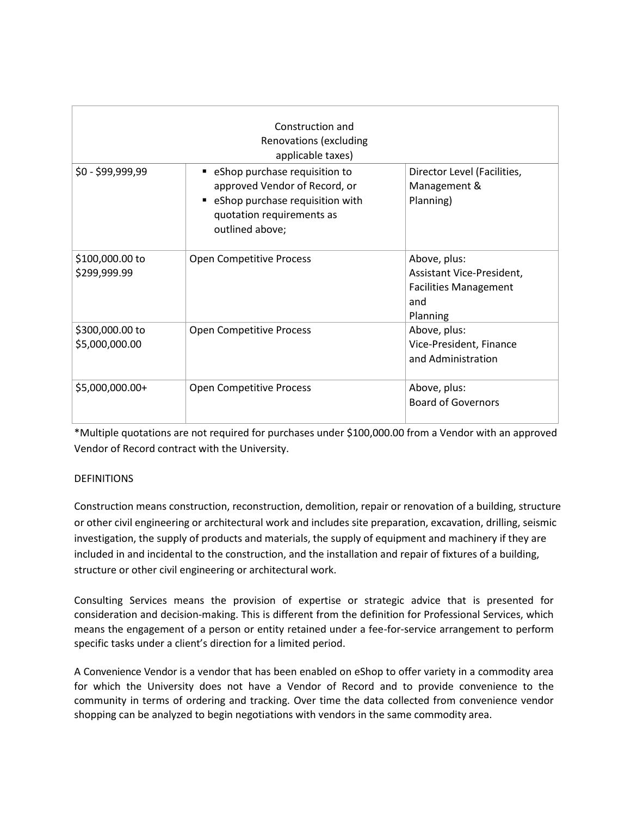|                                   | Construction and<br>Renovations (excluding<br>applicable taxes)                                                                                     |                                                                                              |
|-----------------------------------|-----------------------------------------------------------------------------------------------------------------------------------------------------|----------------------------------------------------------------------------------------------|
| $$0 - $99,999,99$                 | • eShop purchase requisition to<br>approved Vendor of Record, or<br>eShop purchase requisition with<br>quotation requirements as<br>outlined above; | Director Level (Facilities,<br>Management &<br>Planning)                                     |
| \$100,000.00 to<br>\$299,999.99   | <b>Open Competitive Process</b>                                                                                                                     | Above, plus:<br>Assistant Vice-President,<br><b>Facilities Management</b><br>and<br>Planning |
| \$300,000.00 to<br>\$5,000,000.00 | <b>Open Competitive Process</b>                                                                                                                     | Above, plus:<br>Vice-President, Finance<br>and Administration                                |
| \$5,000,000.00+                   | <b>Open Competitive Process</b>                                                                                                                     | Above, plus:<br><b>Board of Governors</b>                                                    |

\*Multiple quotations are not required for purchases under \$100,000.00 from a Vendor with an approved Vendor of Record contract with the University.

# **DEFINITIONS**

Construction means construction, reconstruction, demolition, repair or renovation of a building, structure or other civil engineering or architectural work and includes site preparation, excavation, drilling, seismic investigation, the supply of products and materials, the supply of equipment and machinery if they are included in and incidental to the construction, and the installation and repair of fixtures of a building, structure or other civil engineering or architectural work.

Consulting Services means the provision of expertise or strategic advice that is presented for consideration and decision-making. This is different from the definition for Professional Services, which means the engagement of a person or entity retained under a fee-for-service arrangement to perform specific tasks under a client's direction for a limited period.

A Convenience Vendor is a vendor that has been enabled on eShop to offer variety in a commodity area for which the University does not have a Vendor of Record and to provide convenience to the community in terms of ordering and tracking. Over time the data collected from convenience vendor shopping can be analyzed to begin negotiations with vendors in the same commodity area.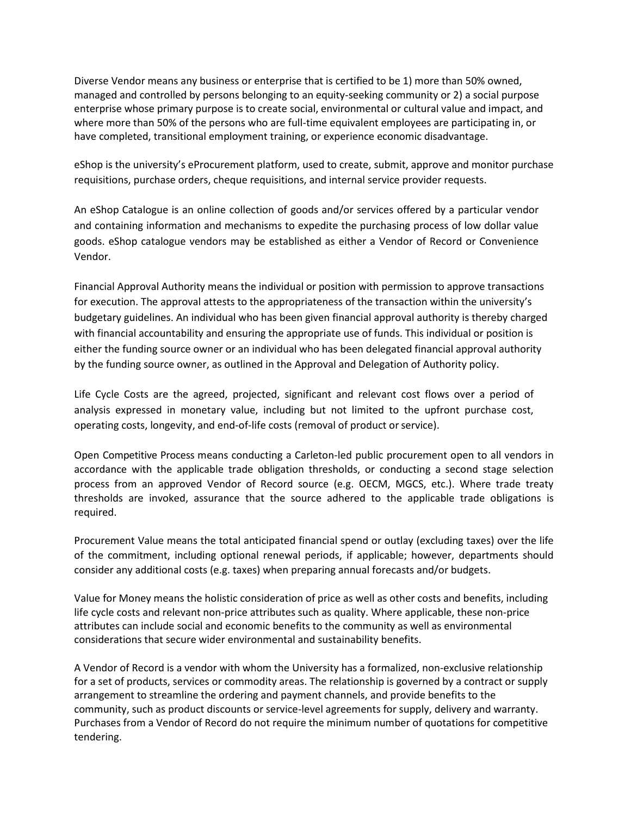Diverse Vendor means any business or enterprise that is certified to be 1) more than 50% owned, managed and controlled by persons belonging to an equity-seeking community or 2) a social purpose enterprise whose primary purpose is to create social, environmental or cultural value and impact, and where more than 50% of the persons who are full-time equivalent employees are participating in, or have completed, transitional employment training, or experience economic disadvantage.

eShop is the university's eProcurement platform, used to create, submit, approve and monitor purchase requisitions, purchase orders, cheque requisitions, and internal service provider requests.

An eShop Catalogue is an online collection of goods and/or services offered by a particular vendor and containing information and mechanisms to expedite the purchasing process of low dollar value goods. eShop catalogue vendors may be established as either a Vendor of Record or Convenience Vendor.

Financial Approval Authority means the individual or position with permission to approve transactions for execution. The approval attests to the appropriateness of the transaction within the university's budgetary guidelines. An individual who has been given financial approval authority is thereby charged with financial accountability and ensuring the appropriate use of funds. This individual or position is either the funding source owner or an individual who has been delegated financial approval authority by the funding source owner, as outlined in the Approval and Delegation of Authority policy.

Life Cycle Costs are the agreed, projected, significant and relevant cost flows over a period of analysis expressed in monetary value, including but not limited to the upfront purchase cost, operating costs, longevity, and end-of-life costs (removal of product or service).

Open Competitive Process means conducting a Carleton-led public procurement open to all vendors in accordance with the applicable trade obligation thresholds, or conducting a second stage selection process from an approved Vendor of Record source (e.g. OECM, MGCS, etc.). Where trade treaty thresholds are invoked, assurance that the source adhered to the applicable trade obligations is required.

Procurement Value means the total anticipated financial spend or outlay (excluding taxes) over the life of the commitment, including optional renewal periods, if applicable; however, departments should consider any additional costs (e.g. taxes) when preparing annual forecasts and/or budgets.

Value for Money means the holistic consideration of price as well as other costs and benefits, including life cycle costs and relevant non-price attributes such as quality. Where applicable, these non-price attributes can include social and economic benefits to the community as well as environmental considerations that secure wider environmental and sustainability benefits.

A Vendor of Record is a vendor with whom the University has a formalized, non-exclusive relationship for a set of products, services or commodity areas. The relationship is governed by a contract or supply arrangement to streamline the ordering and payment channels, and provide benefits to the community, such as product discounts or service-level agreements for supply, delivery and warranty. Purchases from a Vendor of Record do not require the minimum number of quotations for competitive tendering.